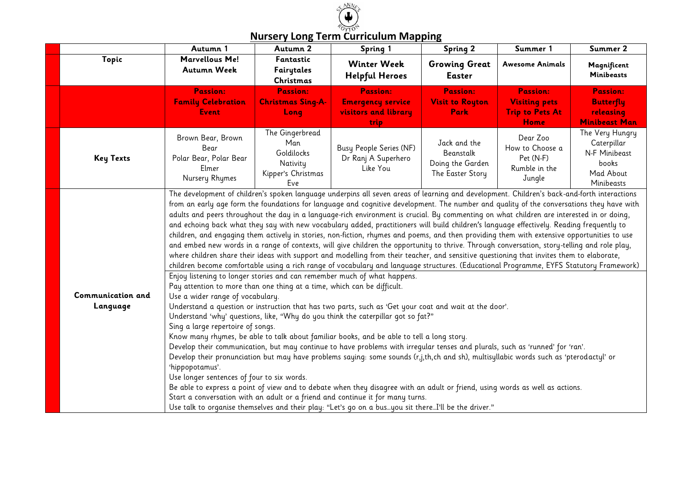

#### **Autumn 1 Autumn 2 Spring 1 Spring 2 Summer 1 Summer 2 Topic Marvellous Me! Autumn Week Fantastic Fairytales Christmas Winter Week Helpful Heroes Growing Great Easter Awesome Animals Magnificent Minibeasts Passion: Family Celebration Event Passion: Christmas Sing-A-Long Passion: Emergency service visitors and library trip Passion: Visit to Royton Park Passion: Visiting pets Trip to Pets At Home Passion: Butterfly releasing Minibeast Man Key Texts** Brown Bear, Brown Bear Polar Bear, Polar Bear Elmer Nursery Rhymes The Gingerbread Man Goldilocks **Nativitu** Kipper's Christmas Eve Busy People Series (NF) Dr Ranj A Superhero Like You Jack and the Beanstalk Doing the Garden The Easter Story Dear Zoo How to Choose a Pet (N-F) Rumble in the Jungle The Very Hungry Caterpillar N-F Minibeast books Mad About Minibeasts **Communication and Language** The development of children's spoken language underpins all seven areas of learning and development. Children's back-and-forth interactions from an early age form the foundations for language and cognitive development. The number and quality of the conversations they have with adults and peers throughout the day in a language-rich environment is crucial. By commenting on what children are interested in or doing, and echoing back what they say with new vocabulary added, practitioners will build children's language effectively. Reading frequently to children, and engaging them actively in stories, non-fiction, rhymes and poems, and then providing them with extensive opportunities to use and embed new words in a range of contexts, will give children the opportunity to thrive. Through conversation, story-telling and role play, where children share their ideas with support and modelling from their teacher, and sensitive questioning that invites them to elaborate, children become comfortable using a rich range of vocabulary and language structures. (Educational Programme, EYFS Statutory Framework) Enjoy listening to longer stories and can remember much of what happens. Pay attention to more than one thing at a time, which can be difficult. Use a wider range of vocabulary. Understand a question or instruction that has two parts, such as 'Get your coat and wait at the door'. Understand 'why' questions, like, "Why do you think the caterpillar got so fat?" Sing a large repertoire of songs. Know many rhymes, be able to talk about familiar books, and be able to tell a long story. Develop their communication, but may continue to have problems with irregular tenses and plurals, such as 'runned' for 'ran'. Develop their pronunciation but may have problems saying: some sounds (r,j,th,ch and sh), multisyllabic words such as 'pterodactyl' or 'hippopotamus'. Use longer sentences of four to six words. Be able to express a point of view and to debate when they disagree with an adult or friend, using words as well as actions. Start a conversation with an adult or a friend and continue it for many turns. Use talk to organise themselves and their play: "Let's go on a bus…you sit there…I'll be the driver."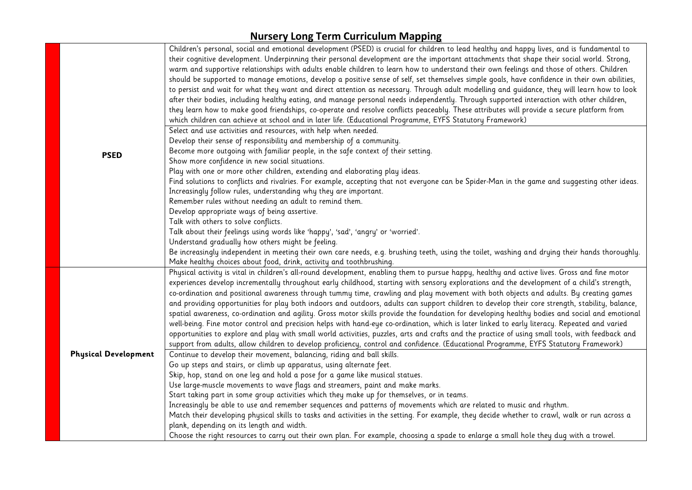|                             | Children's personal, social and emotional development (PSED) is crucial for children to lead healthy and happy lives, and is fundamental to<br>their cognitive development. Underpinning their personal development are the important attachments that shape their social world. Strong,<br>warm and supportive relationships with adults enable children to learn how to understand their own feelings and those of others. Children<br>should be supported to manage emotions, develop a positive sense of self, set themselves simple goals, have confidence in their own abilities,<br>to persist and wait for what they want and direct attention as necessary. Through adult modelling and guidance, they will learn how to look<br>after their bodies, including healthy eating, and manage personal needs independently. Through supported interaction with other children,<br>they learn how to make good friendships, co-operate and resolve conflicts peaceably. These attributes will provide a secure platform from |
|-----------------------------|----------------------------------------------------------------------------------------------------------------------------------------------------------------------------------------------------------------------------------------------------------------------------------------------------------------------------------------------------------------------------------------------------------------------------------------------------------------------------------------------------------------------------------------------------------------------------------------------------------------------------------------------------------------------------------------------------------------------------------------------------------------------------------------------------------------------------------------------------------------------------------------------------------------------------------------------------------------------------------------------------------------------------------|
|                             | which children can achieve at school and in later life. (Educational Programme, EYFS Statutory Framework)                                                                                                                                                                                                                                                                                                                                                                                                                                                                                                                                                                                                                                                                                                                                                                                                                                                                                                                        |
|                             | Select and use activities and resources, with help when needed.<br>Develop their sense of responsibility and membership of a community.                                                                                                                                                                                                                                                                                                                                                                                                                                                                                                                                                                                                                                                                                                                                                                                                                                                                                          |
|                             | Become more outgoing with familiar people, in the safe context of their setting.                                                                                                                                                                                                                                                                                                                                                                                                                                                                                                                                                                                                                                                                                                                                                                                                                                                                                                                                                 |
| <b>PSED</b>                 | Show more confidence in new social situations.                                                                                                                                                                                                                                                                                                                                                                                                                                                                                                                                                                                                                                                                                                                                                                                                                                                                                                                                                                                   |
|                             | Play with one or more other children, extending and elaborating play ideas.                                                                                                                                                                                                                                                                                                                                                                                                                                                                                                                                                                                                                                                                                                                                                                                                                                                                                                                                                      |
|                             | Find solutions to conflicts and rivalries. For example, accepting that not everyone can be Spider-Man in the game and suggesting other ideas.                                                                                                                                                                                                                                                                                                                                                                                                                                                                                                                                                                                                                                                                                                                                                                                                                                                                                    |
|                             | Increasingly follow rules, understanding why they are important.                                                                                                                                                                                                                                                                                                                                                                                                                                                                                                                                                                                                                                                                                                                                                                                                                                                                                                                                                                 |
|                             | Remember rules without needing an adult to remind them.                                                                                                                                                                                                                                                                                                                                                                                                                                                                                                                                                                                                                                                                                                                                                                                                                                                                                                                                                                          |
|                             | Develop appropriate ways of being assertive.                                                                                                                                                                                                                                                                                                                                                                                                                                                                                                                                                                                                                                                                                                                                                                                                                                                                                                                                                                                     |
|                             | Talk with others to solve conflicts.                                                                                                                                                                                                                                                                                                                                                                                                                                                                                                                                                                                                                                                                                                                                                                                                                                                                                                                                                                                             |
|                             | Talk about their feelings using words like 'happy', 'sad', 'angry' or 'worried'.                                                                                                                                                                                                                                                                                                                                                                                                                                                                                                                                                                                                                                                                                                                                                                                                                                                                                                                                                 |
|                             | Understand gradually how others might be feeling.                                                                                                                                                                                                                                                                                                                                                                                                                                                                                                                                                                                                                                                                                                                                                                                                                                                                                                                                                                                |
|                             | Be increasingly independent in meeting their own care needs, e.g. brushing teeth, using the toilet, washing and drying their hands thoroughly.                                                                                                                                                                                                                                                                                                                                                                                                                                                                                                                                                                                                                                                                                                                                                                                                                                                                                   |
|                             | Make healthy choices about food, drink, activity and toothbrushing.                                                                                                                                                                                                                                                                                                                                                                                                                                                                                                                                                                                                                                                                                                                                                                                                                                                                                                                                                              |
|                             | Physical activity is vital in children's all-round development, enabling them to pursue happy, healthy and active lives. Gross and fine motor                                                                                                                                                                                                                                                                                                                                                                                                                                                                                                                                                                                                                                                                                                                                                                                                                                                                                    |
|                             | experiences develop incrementally throughout early childhood, starting with sensory explorations and the development of a child's strength,                                                                                                                                                                                                                                                                                                                                                                                                                                                                                                                                                                                                                                                                                                                                                                                                                                                                                      |
|                             | co-ordination and positional awareness through tummy time, crawling and play movement with both objects and adults. By creating games                                                                                                                                                                                                                                                                                                                                                                                                                                                                                                                                                                                                                                                                                                                                                                                                                                                                                            |
|                             | and providing opportunities for play both indoors and outdoors, adults can support children to develop their core strength, stability, balance,                                                                                                                                                                                                                                                                                                                                                                                                                                                                                                                                                                                                                                                                                                                                                                                                                                                                                  |
|                             | spatial awareness, co-ordination and agility. Gross motor skills provide the foundation for developing healthy bodies and social and emotional                                                                                                                                                                                                                                                                                                                                                                                                                                                                                                                                                                                                                                                                                                                                                                                                                                                                                   |
|                             | well-being. Fine motor control and precision helps with hand-eye co-ordination, which is later linked to early literacy. Repeated and varied                                                                                                                                                                                                                                                                                                                                                                                                                                                                                                                                                                                                                                                                                                                                                                                                                                                                                     |
|                             | opportunities to explore and play with small world activities, puzzles, arts and crafts and the practice of using small tools, with feedback and                                                                                                                                                                                                                                                                                                                                                                                                                                                                                                                                                                                                                                                                                                                                                                                                                                                                                 |
| <b>Physical Development</b> | support from adults, allow children to develop proficiency, control and confidence. (Educational Programme, EYFS Statutory Framework)                                                                                                                                                                                                                                                                                                                                                                                                                                                                                                                                                                                                                                                                                                                                                                                                                                                                                            |
|                             | Continue to develop their movement, balancing, riding and ball skills.<br>Go up steps and stairs, or climb up apparatus, using alternate feet.                                                                                                                                                                                                                                                                                                                                                                                                                                                                                                                                                                                                                                                                                                                                                                                                                                                                                   |
|                             | Skip, hop, stand on one leg and hold a pose for a game like musical statues.                                                                                                                                                                                                                                                                                                                                                                                                                                                                                                                                                                                                                                                                                                                                                                                                                                                                                                                                                     |
|                             | Use large-muscle movements to wave flags and streamers, paint and make marks.                                                                                                                                                                                                                                                                                                                                                                                                                                                                                                                                                                                                                                                                                                                                                                                                                                                                                                                                                    |
|                             | Start taking part in some group activities which they make up for themselves, or in teams.                                                                                                                                                                                                                                                                                                                                                                                                                                                                                                                                                                                                                                                                                                                                                                                                                                                                                                                                       |
|                             | Increasingly be able to use and remember sequences and patterns of movements which are related to music and rhythm.                                                                                                                                                                                                                                                                                                                                                                                                                                                                                                                                                                                                                                                                                                                                                                                                                                                                                                              |
|                             | Match their developing physical skills to tasks and activities in the setting. For example, they decide whether to crawl, walk or run across a                                                                                                                                                                                                                                                                                                                                                                                                                                                                                                                                                                                                                                                                                                                                                                                                                                                                                   |
|                             | plank, depending on its length and width.                                                                                                                                                                                                                                                                                                                                                                                                                                                                                                                                                                                                                                                                                                                                                                                                                                                                                                                                                                                        |
|                             | Choose the right resources to carry out their own plan. For example, choosing a spade to enlarge a small hole they dug with a trowel.                                                                                                                                                                                                                                                                                                                                                                                                                                                                                                                                                                                                                                                                                                                                                                                                                                                                                            |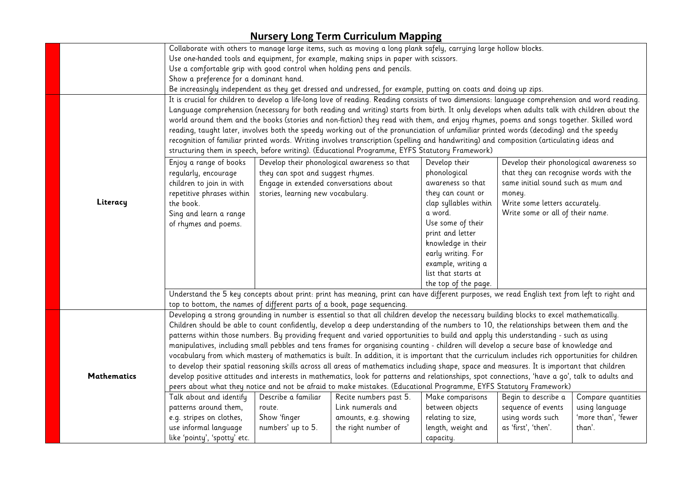|                                                                                                                                     | Collaborate with others to manage large items, such as moving a long plank safely, carrying large hollow blocks.                                                                                                                                                                                                                                                                                                                                                                                                                                                                                                   |                                        |                                                                                                                                         |                       |                                         |                                                                                                                                              |  |
|-------------------------------------------------------------------------------------------------------------------------------------|--------------------------------------------------------------------------------------------------------------------------------------------------------------------------------------------------------------------------------------------------------------------------------------------------------------------------------------------------------------------------------------------------------------------------------------------------------------------------------------------------------------------------------------------------------------------------------------------------------------------|----------------------------------------|-----------------------------------------------------------------------------------------------------------------------------------------|-----------------------|-----------------------------------------|----------------------------------------------------------------------------------------------------------------------------------------------|--|
|                                                                                                                                     | Use one-handed tools and equipment, for example, making snips in paper with scissors.                                                                                                                                                                                                                                                                                                                                                                                                                                                                                                                              |                                        |                                                                                                                                         |                       |                                         |                                                                                                                                              |  |
|                                                                                                                                     | Use a comfortable grip with good control when holding pens and pencils.                                                                                                                                                                                                                                                                                                                                                                                                                                                                                                                                            |                                        |                                                                                                                                         |                       |                                         |                                                                                                                                              |  |
|                                                                                                                                     | Show a preference for a dominant hand.                                                                                                                                                                                                                                                                                                                                                                                                                                                                                                                                                                             |                                        |                                                                                                                                         |                       |                                         |                                                                                                                                              |  |
|                                                                                                                                     | Be increasingly independent as they get dressed and undressed, for example, putting on coats and doing up zips.                                                                                                                                                                                                                                                                                                                                                                                                                                                                                                    |                                        |                                                                                                                                         |                       |                                         |                                                                                                                                              |  |
|                                                                                                                                     | It is crucial for children to develop a life-long love of reading. Reading consists of two dimensions: language comprehension and word reading.                                                                                                                                                                                                                                                                                                                                                                                                                                                                    |                                        |                                                                                                                                         |                       |                                         |                                                                                                                                              |  |
|                                                                                                                                     |                                                                                                                                                                                                                                                                                                                                                                                                                                                                                                                                                                                                                    |                                        |                                                                                                                                         |                       |                                         | Language comprehension (necessary for both reading and writing) starts from birth. It only develops when adults talk with children about the |  |
|                                                                                                                                     |                                                                                                                                                                                                                                                                                                                                                                                                                                                                                                                                                                                                                    |                                        | world around them and the books (stories and non-fiction) they read with them, and enjoy rhymes, poems and songs together. Skilled word |                       |                                         |                                                                                                                                              |  |
|                                                                                                                                     | reading, taught later, involves both the speedy working out of the pronunciation of unfamiliar printed words (decoding) and the speedy<br>recognition of familiar printed words. Writing involves transcription (spelling and handwriting) and composition (articulating ideas and                                                                                                                                                                                                                                                                                                                                 |                                        |                                                                                                                                         |                       |                                         |                                                                                                                                              |  |
|                                                                                                                                     |                                                                                                                                                                                                                                                                                                                                                                                                                                                                                                                                                                                                                    |                                        |                                                                                                                                         |                       |                                         |                                                                                                                                              |  |
|                                                                                                                                     |                                                                                                                                                                                                                                                                                                                                                                                                                                                                                                                                                                                                                    |                                        | structuring them in speech, before writing). (Educational Programme, EYFS Statutory Framework)                                          |                       |                                         |                                                                                                                                              |  |
|                                                                                                                                     | Enjoy a range of books                                                                                                                                                                                                                                                                                                                                                                                                                                                                                                                                                                                             |                                        | Develop their phonological awareness so that                                                                                            | Develop their         | Develop their phonological awareness so |                                                                                                                                              |  |
|                                                                                                                                     | regularly, encourage                                                                                                                                                                                                                                                                                                                                                                                                                                                                                                                                                                                               | they can spot and suggest rhymes.      |                                                                                                                                         | phonological          | that they can recognise words with the  |                                                                                                                                              |  |
|                                                                                                                                     | children to join in with                                                                                                                                                                                                                                                                                                                                                                                                                                                                                                                                                                                           | Engage in extended conversations about |                                                                                                                                         | awareness so that     | same initial sound such as mum and      |                                                                                                                                              |  |
|                                                                                                                                     | repetitive phrases within                                                                                                                                                                                                                                                                                                                                                                                                                                                                                                                                                                                          | stories, learning new vocabulary.      |                                                                                                                                         | they can count or     | money.                                  |                                                                                                                                              |  |
| Literacy                                                                                                                            | the book.                                                                                                                                                                                                                                                                                                                                                                                                                                                                                                                                                                                                          |                                        |                                                                                                                                         | clap syllables within | Write some letters accurately.          |                                                                                                                                              |  |
|                                                                                                                                     | Sing and learn a range                                                                                                                                                                                                                                                                                                                                                                                                                                                                                                                                                                                             |                                        |                                                                                                                                         | a word.               | Write some or all of their name.        |                                                                                                                                              |  |
|                                                                                                                                     | of rhymes and poems.                                                                                                                                                                                                                                                                                                                                                                                                                                                                                                                                                                                               |                                        |                                                                                                                                         | Use some of their     |                                         |                                                                                                                                              |  |
|                                                                                                                                     |                                                                                                                                                                                                                                                                                                                                                                                                                                                                                                                                                                                                                    |                                        |                                                                                                                                         | print and letter      |                                         |                                                                                                                                              |  |
|                                                                                                                                     |                                                                                                                                                                                                                                                                                                                                                                                                                                                                                                                                                                                                                    |                                        |                                                                                                                                         | knowledge in their    |                                         |                                                                                                                                              |  |
|                                                                                                                                     |                                                                                                                                                                                                                                                                                                                                                                                                                                                                                                                                                                                                                    |                                        |                                                                                                                                         | early writing. For    |                                         |                                                                                                                                              |  |
|                                                                                                                                     |                                                                                                                                                                                                                                                                                                                                                                                                                                                                                                                                                                                                                    |                                        |                                                                                                                                         | example, writing a    |                                         |                                                                                                                                              |  |
|                                                                                                                                     |                                                                                                                                                                                                                                                                                                                                                                                                                                                                                                                                                                                                                    |                                        |                                                                                                                                         | list that starts at   |                                         |                                                                                                                                              |  |
|                                                                                                                                     |                                                                                                                                                                                                                                                                                                                                                                                                                                                                                                                                                                                                                    |                                        |                                                                                                                                         | the top of the page.  |                                         |                                                                                                                                              |  |
|                                                                                                                                     | Understand the 5 key concepts about print: print has meaning, print can have different purposes, we read English text from left to right and                                                                                                                                                                                                                                                                                                                                                                                                                                                                       |                                        |                                                                                                                                         |                       |                                         |                                                                                                                                              |  |
|                                                                                                                                     | top to bottom, the names of different parts of a book, page sequencing.                                                                                                                                                                                                                                                                                                                                                                                                                                                                                                                                            |                                        |                                                                                                                                         |                       |                                         |                                                                                                                                              |  |
|                                                                                                                                     | Developing a strong grounding in number is essential so that all children develop the necessary building blocks to excel mathematically.                                                                                                                                                                                                                                                                                                                                                                                                                                                                           |                                        |                                                                                                                                         |                       |                                         |                                                                                                                                              |  |
|                                                                                                                                     |                                                                                                                                                                                                                                                                                                                                                                                                                                                                                                                                                                                                                    |                                        | Children should be able to count confidently, develop a deep understanding of the numbers to 10, the relationships between them and the |                       |                                         |                                                                                                                                              |  |
| patterns within those numbers. By providing frequent and varied opportunities to build and apply this understanding - such as using |                                                                                                                                                                                                                                                                                                                                                                                                                                                                                                                                                                                                                    |                                        |                                                                                                                                         |                       |                                         |                                                                                                                                              |  |
|                                                                                                                                     | manipulatives, including small pebbles and tens frames for organising counting - children will develop a secure base of knowledge and<br>vocabulary from which mastery of mathematics is built. In addition, it is important that the curriculum includes rich opportunities for children<br>to develop their spatial reasoning skills across all areas of mathematics including shape, space and measures. It is important that children<br><b>Mathematics</b><br>develop positive attitudes and interests in mathematics, look for patterns and relationships, spot connections, 'have a go', talk to adults and |                                        |                                                                                                                                         |                       |                                         |                                                                                                                                              |  |
|                                                                                                                                     |                                                                                                                                                                                                                                                                                                                                                                                                                                                                                                                                                                                                                    |                                        |                                                                                                                                         |                       |                                         |                                                                                                                                              |  |
|                                                                                                                                     |                                                                                                                                                                                                                                                                                                                                                                                                                                                                                                                                                                                                                    |                                        |                                                                                                                                         |                       |                                         |                                                                                                                                              |  |
|                                                                                                                                     |                                                                                                                                                                                                                                                                                                                                                                                                                                                                                                                                                                                                                    |                                        |                                                                                                                                         |                       |                                         |                                                                                                                                              |  |
|                                                                                                                                     |                                                                                                                                                                                                                                                                                                                                                                                                                                                                                                                                                                                                                    |                                        | peers about what they notice and not be afraid to make mistakes. (Educational Programme, EYFS Statutory Framework)                      |                       |                                         |                                                                                                                                              |  |
|                                                                                                                                     | Talk about and identify                                                                                                                                                                                                                                                                                                                                                                                                                                                                                                                                                                                            | Describe a familiar                    | Recite numbers past 5.                                                                                                                  | Make comparisons      | Begin to describe a                     | Compare quantities                                                                                                                           |  |
|                                                                                                                                     | patterns around them,                                                                                                                                                                                                                                                                                                                                                                                                                                                                                                                                                                                              | route.                                 | Link numerals and                                                                                                                       | between objects       | sequence of events                      | using language                                                                                                                               |  |
|                                                                                                                                     | e.g. stripes on clothes,                                                                                                                                                                                                                                                                                                                                                                                                                                                                                                                                                                                           | Show 'finger                           | amounts, e.g. showing                                                                                                                   | relating to size,     | using words such                        | 'more than', 'fewer<br>than'.                                                                                                                |  |
| as 'first', 'then'.<br>use informal language<br>numbers' up to 5.<br>the right number of<br>length, weight and                      |                                                                                                                                                                                                                                                                                                                                                                                                                                                                                                                                                                                                                    |                                        |                                                                                                                                         |                       |                                         |                                                                                                                                              |  |
|                                                                                                                                     | like 'pointy', 'spotty' etc.                                                                                                                                                                                                                                                                                                                                                                                                                                                                                                                                                                                       |                                        |                                                                                                                                         | capacity.             |                                         |                                                                                                                                              |  |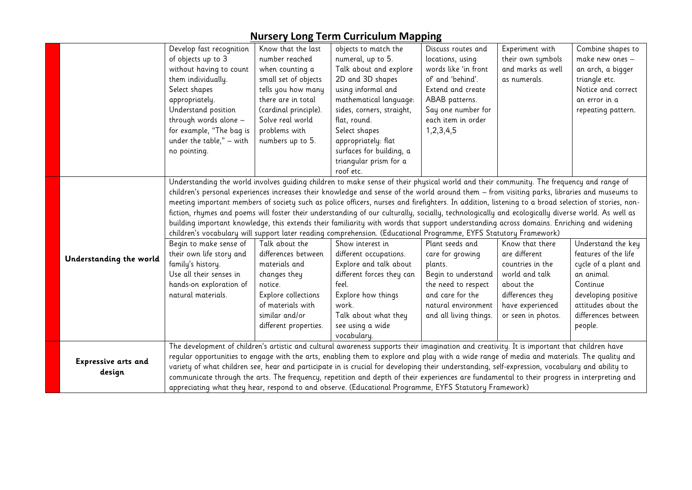|                            | Develop fast recognition                                                                                                                                                                                                                               | Know that the last                                                                                                                        | objects to match the      | Discuss routes and     | Experiment with    | Combine shapes to    |  |
|----------------------------|--------------------------------------------------------------------------------------------------------------------------------------------------------------------------------------------------------------------------------------------------------|-------------------------------------------------------------------------------------------------------------------------------------------|---------------------------|------------------------|--------------------|----------------------|--|
|                            | of objects up to 3                                                                                                                                                                                                                                     | number reached                                                                                                                            | numeral, up to 5.         | locations, using       | their own symbols  | make new ones -      |  |
|                            | without having to count                                                                                                                                                                                                                                | when counting a                                                                                                                           | Talk about and explore    | words like 'in front   | and marks as well  | an arch, a bigger    |  |
|                            | them individually.                                                                                                                                                                                                                                     | small set of objects                                                                                                                      | 2D and 3D shapes          | of and 'behind'.       | as numerals.       | triangle etc.        |  |
|                            | Select shapes                                                                                                                                                                                                                                          | tells you how many                                                                                                                        | using informal and        | Extend and create      |                    | Notice and correct   |  |
|                            | appropriately.                                                                                                                                                                                                                                         | there are in total                                                                                                                        | mathematical language:    | ABAB patterns.         |                    | an error in a        |  |
|                            | Understand position                                                                                                                                                                                                                                    | (cardinal principle).                                                                                                                     | sides, corners, straight, | Say one number for     |                    | repeating pattern.   |  |
|                            | through words alone -                                                                                                                                                                                                                                  | Solve real world                                                                                                                          | flat, round.              | each item in order     |                    |                      |  |
|                            | for example, "The bag is                                                                                                                                                                                                                               | problems with                                                                                                                             | Select shapes             | 1, 2, 3, 4, 5          |                    |                      |  |
|                            | under the table," $-$ with                                                                                                                                                                                                                             | numbers up to 5.                                                                                                                          | appropriately: flat       |                        |                    |                      |  |
|                            | no pointing.                                                                                                                                                                                                                                           |                                                                                                                                           | surfaces for building, a  |                        |                    |                      |  |
|                            |                                                                                                                                                                                                                                                        |                                                                                                                                           | triangular prism for a    |                        |                    |                      |  |
|                            |                                                                                                                                                                                                                                                        |                                                                                                                                           | roof etc.                 |                        |                    |                      |  |
|                            | Understanding the world involves quiding children to make sense of their physical world and their community. The frequency and range of                                                                                                                |                                                                                                                                           |                           |                        |                    |                      |  |
|                            | children's personal experiences increases their knowledge and sense of the world around them - from visiting parks, libraries and museums to                                                                                                           |                                                                                                                                           |                           |                        |                    |                      |  |
|                            | meeting important members of society such as police officers, nurses and firefighters. In addition, listening to a broad selection of stories, non-                                                                                                    |                                                                                                                                           |                           |                        |                    |                      |  |
|                            | fiction, rhymes and poems will foster their understanding of our culturally, socially, technologically and ecologically diverse world. As well as                                                                                                      |                                                                                                                                           |                           |                        |                    |                      |  |
|                            |                                                                                                                                                                                                                                                        | building important knowledge, this extends their familiarity with words that support understanding across domains. Enriching and widening |                           |                        |                    |                      |  |
|                            | children's vocabulary will support later reading comprehension. (Educational Programme, EYFS Statutory Framework)                                                                                                                                      |                                                                                                                                           |                           |                        |                    |                      |  |
|                            | Begin to make sense of                                                                                                                                                                                                                                 | Talk about the                                                                                                                            | Show interest in          | Plant seeds and        | Know that there    | Understand the key   |  |
| Understanding the world    | their own life story and                                                                                                                                                                                                                               | differences between                                                                                                                       | different occupations.    | care for growing       | are different      | features of the life |  |
|                            | family's history.                                                                                                                                                                                                                                      | materials and                                                                                                                             | Explore and talk about    | plants.                | countries in the   | cycle of a plant and |  |
|                            | Use all their senses in                                                                                                                                                                                                                                | changes they                                                                                                                              | different forces they can | Begin to understand    | world and talk     | an animal.           |  |
|                            | hands-on exploration of                                                                                                                                                                                                                                | notice.                                                                                                                                   | feel.                     | the need to respect    | about the          | Continue             |  |
|                            | natural materials.                                                                                                                                                                                                                                     | Explore collections                                                                                                                       | Explore how things        | and care for the       | differences they   | developing positive  |  |
|                            |                                                                                                                                                                                                                                                        | of materials with                                                                                                                         | work.                     | natural environment    | have experienced   | attitudes about the  |  |
|                            |                                                                                                                                                                                                                                                        | similar and/or                                                                                                                            | Talk about what they      | and all living things. | or seen in photos. | differences between  |  |
|                            |                                                                                                                                                                                                                                                        | different properties.                                                                                                                     | see using a wide          |                        |                    | people.              |  |
|                            |                                                                                                                                                                                                                                                        |                                                                                                                                           | vocabulary.               |                        |                    |                      |  |
|                            | The development of children's artistic and cultural awareness supports their imagination and creativity. It is important that children have                                                                                                            |                                                                                                                                           |                           |                        |                    |                      |  |
| <b>Expressive arts and</b> | regular opportunities to engage with the arts, enabling them to explore and play with a wide range of media and materials. The quality and                                                                                                             |                                                                                                                                           |                           |                        |                    |                      |  |
| design                     | variety of what children see, hear and participate in is crucial for developing their understanding, self-expression, vocabulary and ability to                                                                                                        |                                                                                                                                           |                           |                        |                    |                      |  |
|                            | communicate through the arts. The frequency, repetition and depth of their experiences are fundamental to their progress in interpreting and<br>appreciating what they hear, respond to and observe. (Educational Programme, EYFS Statutory Framework) |                                                                                                                                           |                           |                        |                    |                      |  |
|                            |                                                                                                                                                                                                                                                        |                                                                                                                                           |                           |                        |                    |                      |  |